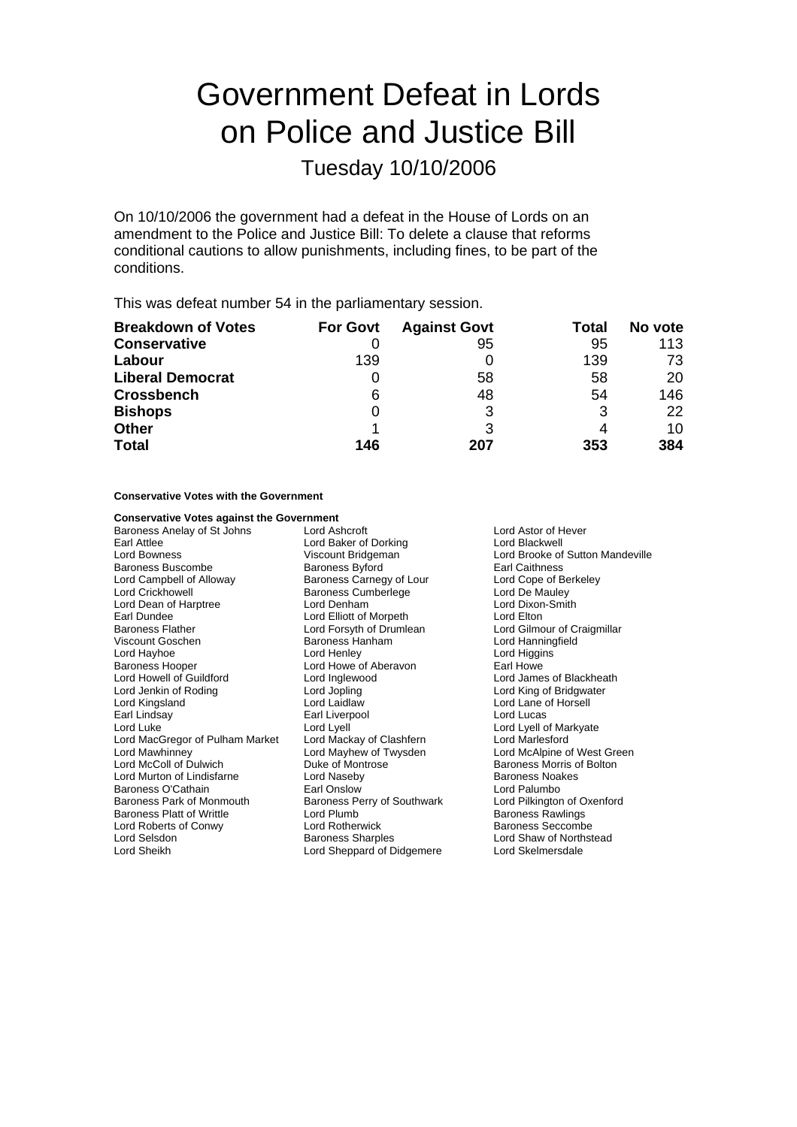# Government Defeat in Lords on Police and Justice Bill

Tuesday 10/10/2006

On 10/10/2006 the government had a defeat in the House of Lords on an amendment to the Police and Justice Bill: To delete a clause that reforms conditional cautions to allow punishments, including fines, to be part of the conditions.

This was defeat number 54 in the parliamentary session.

| <b>Breakdown of Votes</b> | <b>For Govt</b> | <b>Against Govt</b> | Total | No vote |
|---------------------------|-----------------|---------------------|-------|---------|
| <b>Conservative</b>       |                 | 95                  | 95    | 113     |
| Labour                    | 139             |                     | 139   | 73      |
| <b>Liberal Democrat</b>   |                 | 58                  | 58    | 20      |
| <b>Crossbench</b>         | 6               | 48                  | 54    | 146     |
| <b>Bishops</b>            | 0               |                     | 3     | 22      |
| <b>Other</b>              |                 |                     |       | 10      |
| <b>Total</b>              | 146             | 207                 | 353   | 384     |

## **Conservative Votes with the Government**

# **Conservative Votes against the Government**<br>**Baroness Anelav of St Johns Lord Ashcroft**

Baroness Anelay of St Johns Lord Ashcroft Lord Cordination Cord Ashcroft Lord Ashcroft Lord Ashcroft Lord Blackwell<br>
Lord Baker of Dorking Lord Blackwell Earl Attlee Lord Baker of Dorking Lord Bowness Viscount Bridgeman Lord Brooke of Sutton Mandeville Baroness Buscombe Baroness Byford Earl Caithness Lord Campbell of Alloway **Baroness Carnegy of Lour** Lord Cope of Be<br>
Lord Crickhowell **Baroness Cumberlege** Lord De Mauley Lord Dean of Harptree **Lord Denham** Lord Denham Lord Dixon-Smith<br>
Lord Dundee Lord Elliott of Morpeth Lord Elton Earl Dundee<br>
Raroness Flather<br>
Lord Enrsyth of Drumle Viscount Goschen **Baroness Hanham** Lord Hanningfield<br>
Lord Hayhoe **Connect Connect Lord Henley** Cord Higgins Lord Hayhoe **Lord Henley** Lord Henley **Lord Howe Lord Higgins**<br>Baroness Hooper **Lord Howe of Aberavon** Earl Howe Baroness Hooper Lord Howe of Aberavon<br>
Lord Howell of Guildford Lord Inglewood Lord Jenkin of Roding **Lord Lord Lord Lord Lord Lord Cord King of Bridgwater**<br>
Lord Kingsland **Lord Large Cord Lord Land Article Cord Lord Lane of Horsell** Lord Kingsland Lord Laidlaw Lord Lane of Horsell Lord Luke Lord Lord Lyell Lord Lyell Lord Lyell Cord Lyell of Markyate<br>
Lord MacGregor of Pulham Market Lord Mackay of Clashfern Lord Marlesford Lord MacGregor of Pulham Market Lord Mackay of Clashfern<br>Lord Mawhinnev Lord Mayhew of Twysden Lord Mawhinney Lord Mayhew of Twysden Lord McAlpine of West Green Lord Murton of Lindisfarne Lord Naseby **Baroness Noakes**<br>
Baroness O'Cathain **Baroness Container Carl Corporation**<br>
Earl Onslow Carl Corporation Lord Palumbo Baroness O'Cathain **Earl Onslow** Earl Onslow Lord Palumbo<br>Baroness Park of Monmouth Baroness Perry of Southwark Lord Pilkington of Oxenford Baroness Platt of Writtle **Example 2 Lord Plumb**<br>
Lord Roberts of Conwy **Baroness Seccombe**<br>
Lord Rotherwick **Baroness Seccombe** Lord Roberts of Conwy Lord Selsdon **Baroness Sharples** Lord Shaw of Northstead Lord Sheikh Lord Shaw of Northstead Lord Sheikh Lord Shengard of Didgement

Baroness Cumberlege Lord Forsyth of Drumlean Lord Gilmour of Craigmillar Earl Liverpool Duke of Montrose **Baroness Morris of Bolton** Baroness Perry of Southwark<br>Lord Plumb Lord Sheppard of Didgemere

Lord James of Blackheath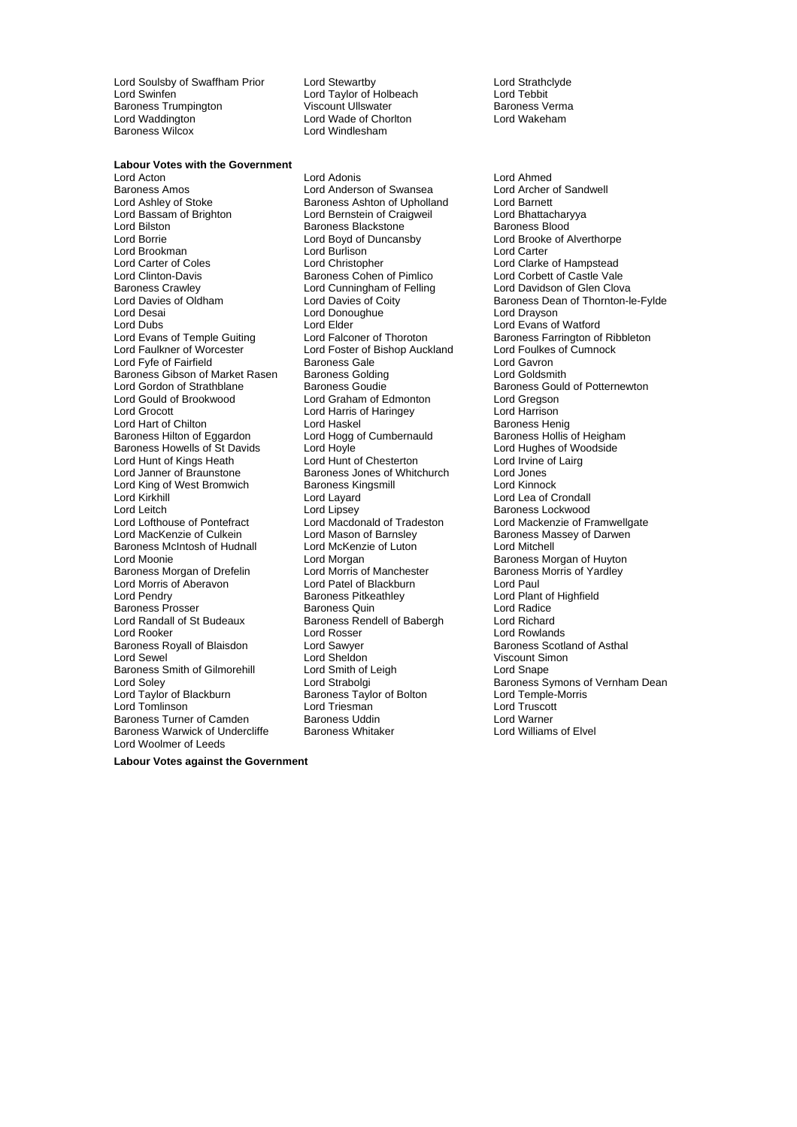Lord Soulsby of Swaffham Prior Lord Stewartby **Lord Strathclyde**<br>
Lord Swinfen **Colloce Lord Taylor** of Holbeach **Lord Tebbit** Baroness Trumpington **Baroness Viscount Ullswater** Baroness Verman Baroness Verman Viscount Ullswater **Baroness Verman Baroness Verman Viscount Ullswater** Lord Waddington **Lord Wade of Chorlton Chorles Chorles**<br>
Baroness Wilcox **Lord Windlesham** Baroness Wilcox

**Labour Votes with the Government**<br>**Lord Acton** 

Baroness Amos<br>
Lord Ashley of Stoke Stock Baroness Ashton of Upholla Lord Ashley of Stoke **Baroness Ashton of Upholland** Lord Barnett<br>
Lord Bassam of Brighton **Lord Barnett Lord Barnett** Lord Bhattacharyya Lord Bassam of Brighton Lord Bernstein of Craigweil and Lord Bhattachary<br>Lord Bilston Baroness Blackstone Baroness Blood Lord Borrie Lord Boyd of Duncansby Lord Brooke of Alverthorpe Lord Brookman Lord Burlison Lord Carter Lord Carter of Coles Lord Christopher Lord Clarke of Hampstead<br>
Lord Clinton-Davis Baroness Cohen of Pimlico Lord Corbett of Castle Vale Baroness Crawley **Lord Cunningham of Felling Clova** Lord Davidson of Glen Clova<br>
Lord Davies of Oldham Lord Davies of Coity **Baroness Dean of Thornton-I** Lord Dubs<br>
Lord Evans of Temple Guiting Lord Elder Correct Correct Lord Evans of Watford<br>
Lord Evans of Temple Guiting Lord Falconer of Thoroton Baroness Farrington of Lord Evans of Temple Guiting Lord Falconer of Thoroton Evan Baroness Farrington of Ribbleton<br>Lord Faulkner of Worcester Lord Foster of Bishop Auckland Lord Foulkes of Cumnock Lord Fyfe of Fairfield **Baroness Gale** Lord Gavron<br>
Baroness Gibson of Market Rasen Baroness Golding **Lord Goldsmith** Baroness Gibson of Market Rasen Baroness Golding<br>
Lord Gordon of Strathblane Baroness Goudie Lord Gordon of Strathblane **Baroness Goudie Corporation** Baroness Gould of Potternewton<br>Baroness Gould of Brookwood **Baroness Baroness Gould Corporation** Lord Greason Lord Gould of Brookwood Lord Graham of Edmonton Lord Gregson Lord Hart of Chilton **Lord Haskel Communist Communist Communist** Baroness Henig<br>Baroness Hilton of Eggardon Lord Hogg of Cumbernauld Baroness Hollis of Heigham Baroness Hilton of Eggardon Lord Hogg of Cumbernauld Baroness Hollis of Heighar<br>Baroness Howells of St Davids Lord Hoyle Lord Hord Hughes of Woodside Baroness Howells of St Davids Lord Hoyle Lord Hoyle Lord Hughes of Wood Hughes of Woodside Lord Hunt of Chesterton Lord Irvine of Lairg Lord Hunt of Kings Heath Lord Janner of Braunstone **Baroness Jones of Whitchurch** Lord Jones<br>
Lord King of West Bromwich **Baroness Kingsmill** Baroness Kingsmill Lord King of West Bromwich Baroness Kingsmill Baroness Kingsmill Lord Lavard Lord Leitch **Lord Lipsey** Lord Lipsey **Baroness Lockwood**<br>
Lord Lord Mackenzie of Final Lord Macdonald of Tradeston **Lord Mackenzie of Final Lord Cord Mackenzie** of Final Lord Lofthouse of Pontefract Lord Macdonald of Trad ston e Lord Mackenzie of Framwellgate Lord MacKenzie of Culkein Lord Mason of Barnsley Baroness Massey of Darwen<br>
Baroness McIntosh of Hudnall Lord McKenzie of Luton Lord Mitchell Lord Moonie **Lord Morgan** Lord Morgan **Baroness Morgan of Huyton**<br>Baroness Morgan of Drefelin **Baroness Morgan Lord Morris of Manchester** Baroness Morris of Yardley Baroness Morgan of Drefelin Lord Morris of Manchester Baroness<br>
Lord Morris of Aberavon Lord Patel of Blackburn Lord Paul Lord Morris of Aberavon Lord Pendry Baroness Pitkeathley Lord Plant of Highfield Baroness Prosser **Baroness Quin**<br>
Lord Randall of St Budeaux **Baroness Rendell of Babergh** Lord Richard Lord Rooker Lord Rosser Lord Rowlands Baroness Royall of Blaisdon and Lord Sawyer **Baroness Scotland of Asthal**<br>
Lord Sewel **Cord Stand Scotland Cord Sheldon** Breed Cord Scount Simon Lord Sewel **Lord Sheldon** Lord Sheldon **Viscount Simon**<br>
Baroness Smith of Gilmorehill **Lord Smith of Leigh** (Lord Shape Baroness Smith of Gilmorehill Lord Smith of I<br>Lord Soley Lord Snape Lord Tomlinson Lord Triesman Lord Truscott Baroness Turner of Camden Baroness Uddin Chroness Communist Cord Warner Chroness Warwick of Undercliffe Baroness Whitaker Chroness Lord Williams of Elvel Baroness Warwick of Undercliffe Baroness Whitaker Lord Woolmer of Leeds

Lord Taylor of Holbeach Lord Tebbit<br>Viscount Ullswater Lord Tearoness Verma

Lord Adonis<br>
Lord Anderson of Swansea<br>
Lord Archer of Sandwell Baroness Blackstone Baroness Cohen of Pimlico Lord Donoughue<br>Lord Elder Lord Foster of Bishop Auckland in Lord Foulkes<br>
Baroness Gale in Lord Gavron Lord Harris of Haringey Lord McKenzie of Luton Baroness Rendell of Babergh<br>Lord Rosser Baroness Taylor of Bolton

Lord Davies of Oldham Lord Davies of Coity<br>
Lord Davies of Coity<br>
Lord Davies Cord Donoughue<br>
Lord Drayson<br>
Lord Drayson Lord Lea of Crondall Lord Soley **Lord Strabolgi** Cord Strabolgi **Baroness Symons of Vernham Dean**<br>
Lord Taylor of Blackburn **Baroness Taylor of Bolton** Lord Temple-Morris

**Labour Votes against the Government**